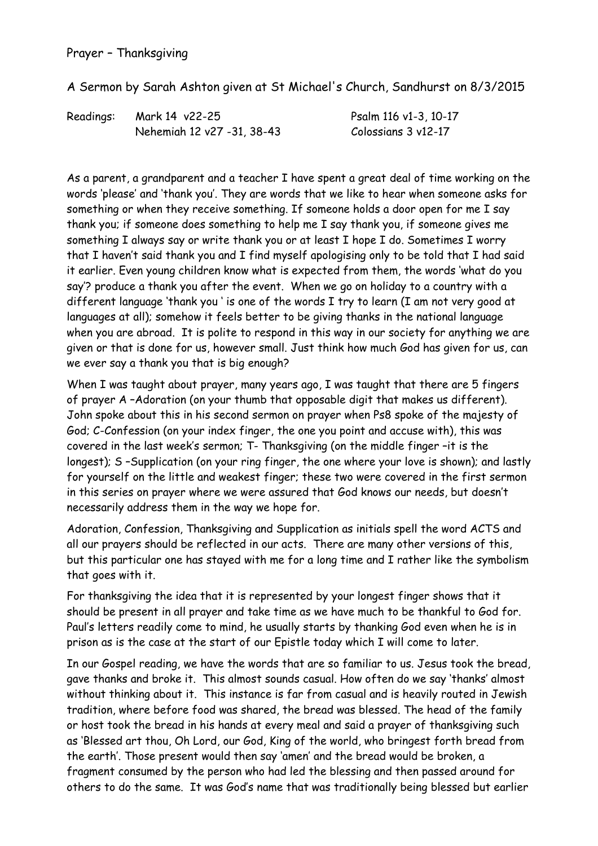## Prayer – Thanksgiving

A Sermon by Sarah Ashton given at St Michael's Church, Sandhurst on 8/3/2015

| Readings: | Mark 14 v22-25             | Psalm 116 v1-3, 10-17 |
|-----------|----------------------------|-----------------------|
|           | Nehemiah 12 v27 -31, 38-43 | Colossians 3 v12-17   |

As a parent, a grandparent and a teacher I have spent a great deal of time working on the words 'please' and 'thank you'. They are words that we like to hear when someone asks for something or when they receive something. If someone holds a door open for me I say thank you; if someone does something to help me I say thank you, if someone gives me something I always say or write thank you or at least I hope I do. Sometimes I worry that I haven't said thank you and I find myself apologising only to be told that I had said it earlier. Even young children know what is expected from them, the words 'what do you say'? produce a thank you after the event. When we go on holiday to a country with a different language 'thank you ' is one of the words I try to learn (I am not very good at languages at all); somehow it feels better to be giving thanks in the national language when you are abroad. It is polite to respond in this way in our society for anything we are given or that is done for us, however small. Just think how much God has given for us, can we ever say a thank you that is big enough?

When I was taught about prayer, many years ago, I was taught that there are 5 fingers of prayer A –Adoration (on your thumb that opposable digit that makes us different). John spoke about this in his second sermon on prayer when Ps8 spoke of the majesty of God; C-Confession (on your index finger, the one you point and accuse with), this was covered in the last week's sermon; T- Thanksgiving (on the middle finger –it is the longest); S-Supplication (on your ring finger, the one where your love is shown); and lastly for yourself on the little and weakest finger; these two were covered in the first sermon in this series on prayer where we were assured that God knows our needs, but doesn't necessarily address them in the way we hope for.

Adoration, Confession, Thanksgiving and Supplication as initials spell the word ACTS and all our prayers should be reflected in our acts. There are many other versions of this, but this particular one has stayed with me for a long time and I rather like the symbolism that goes with it.

For thanksgiving the idea that it is represented by your longest finger shows that it should be present in all prayer and take time as we have much to be thankful to God for. Paul's letters readily come to mind, he usually starts by thanking God even when he is in prison as is the case at the start of our Epistle today which I will come to later.

In our Gospel reading, we have the words that are so familiar to us. Jesus took the bread, gave thanks and broke it. This almost sounds casual. How often do we say 'thanks' almost without thinking about it. This instance is far from casual and is heavily routed in Jewish tradition, where before food was shared, the bread was blessed. The head of the family or host took the bread in his hands at every meal and said a prayer of thanksgiving such as 'Blessed art thou, Oh Lord, our God, King of the world, who bringest forth bread from the earth'. Those present would then say 'amen' and the bread would be broken, a fragment consumed by the person who had led the blessing and then passed around for others to do the same. It was God's name that was traditionally being blessed but earlier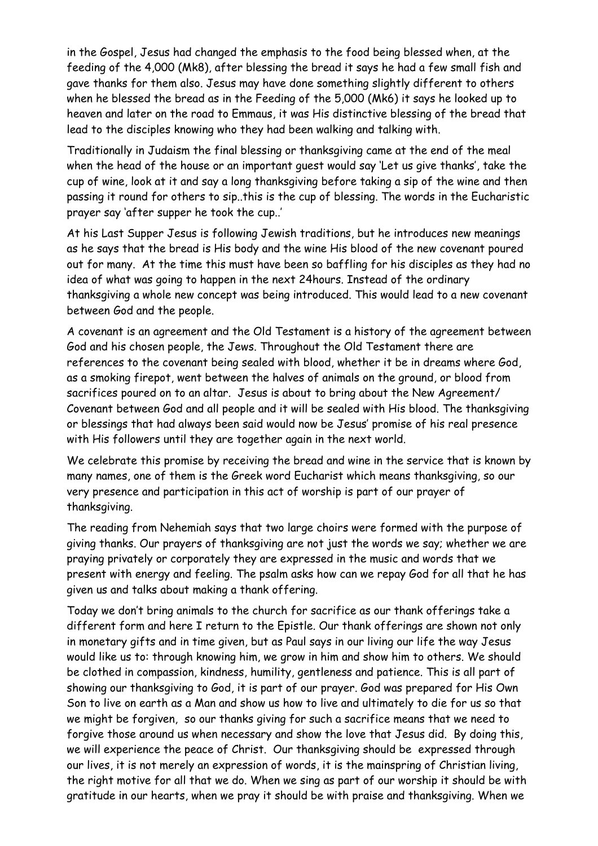in the Gospel, Jesus had changed the emphasis to the food being blessed when, at the feeding of the 4,000 (Mk8), after blessing the bread it says he had a few small fish and gave thanks for them also. Jesus may have done something slightly different to others when he blessed the bread as in the Feeding of the 5,000 (Mk6) it says he looked up to heaven and later on the road to Emmaus, it was His distinctive blessing of the bread that lead to the disciples knowing who they had been walking and talking with.

Traditionally in Judaism the final blessing or thanksgiving came at the end of the meal when the head of the house or an important guest would say 'Let us give thanks', take the cup of wine, look at it and say a long thanksgiving before taking a sip of the wine and then passing it round for others to sip..this is the cup of blessing. The words in the Eucharistic prayer say 'after supper he took the cup..'

At his Last Supper Jesus is following Jewish traditions, but he introduces new meanings as he says that the bread is His body and the wine His blood of the new covenant poured out for many. At the time this must have been so baffling for his disciples as they had no idea of what was going to happen in the next 24hours. Instead of the ordinary thanksgiving a whole new concept was being introduced. This would lead to a new covenant between God and the people.

A covenant is an agreement and the Old Testament is a history of the agreement between God and his chosen people, the Jews. Throughout the Old Testament there are references to the covenant being sealed with blood, whether it be in dreams where God, as a smoking firepot, went between the halves of animals on the ground, or blood from sacrifices poured on to an altar. Jesus is about to bring about the New Agreement/ Covenant between God and all people and it will be sealed with His blood. The thanksgiving or blessings that had always been said would now be Jesus' promise of his real presence with His followers until they are together again in the next world.

We celebrate this promise by receiving the bread and wine in the service that is known by many names, one of them is the Greek word Eucharist which means thanksgiving, so our very presence and participation in this act of worship is part of our prayer of thanksgiving.

The reading from Nehemiah says that two large choirs were formed with the purpose of giving thanks. Our prayers of thanksgiving are not just the words we say; whether we are praying privately or corporately they are expressed in the music and words that we present with energy and feeling. The psalm asks how can we repay God for all that he has given us and talks about making a thank offering.

Today we don't bring animals to the church for sacrifice as our thank offerings take a different form and here I return to the Epistle. Our thank offerings are shown not only in monetary gifts and in time given, but as Paul says in our living our life the way Jesus would like us to: through knowing him, we grow in him and show him to others. We should be clothed in compassion, kindness, humility, gentleness and patience. This is all part of showing our thanksgiving to God, it is part of our prayer. God was prepared for His Own Son to live on earth as a Man and show us how to live and ultimately to die for us so that we might be forgiven, so our thanks giving for such a sacrifice means that we need to forgive those around us when necessary and show the love that Jesus did. By doing this, we will experience the peace of Christ. Our thanksgiving should be expressed through our lives, it is not merely an expression of words, it is the mainspring of Christian living, the right motive for all that we do. When we sing as part of our worship it should be with gratitude in our hearts, when we pray it should be with praise and thanksgiving. When we